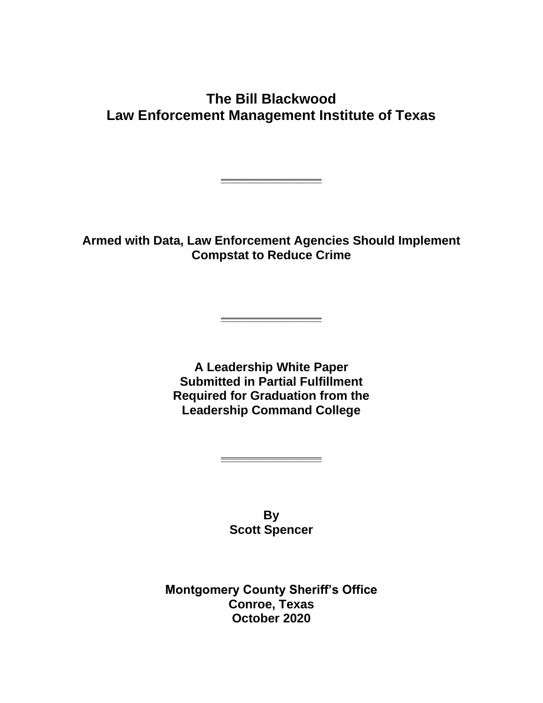# **The Bill Blackwood Law Enforcement Management Institute of Texas**

**Armed with Data, Law Enforcement Agencies Should Implement Compstat to Reduce Crime**

**\_\_\_\_\_\_\_\_\_\_\_\_\_\_\_\_\_**

**\_\_\_\_\_\_\_\_\_\_\_\_\_\_\_\_\_**

**A Leadership White Paper Submitted in Partial Fulfillment Required for Graduation from the Leadership Command College**

> **By Scott Spencer**

**\_\_\_\_\_\_\_\_\_\_\_\_\_\_\_\_\_**

**Montgomery County Sheriff's Office Conroe, Texas October 2020**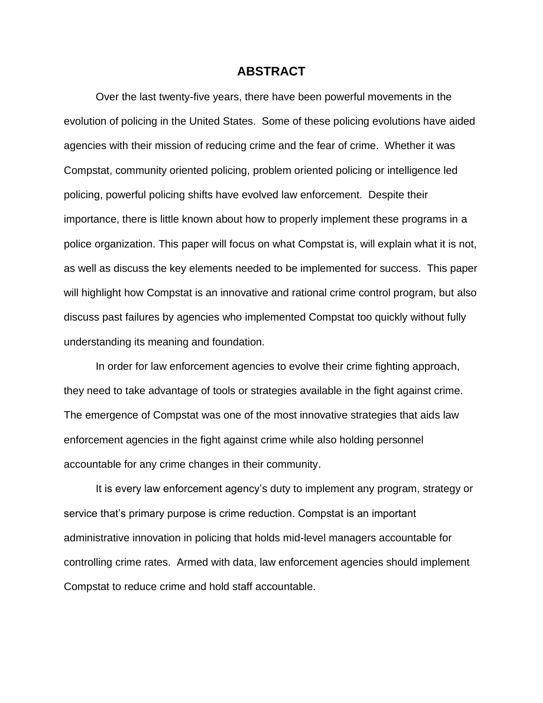#### **ABSTRACT**

Over the last twenty-five years, there have been powerful movements in the evolution of policing in the United States. Some of these policing evolutions have aided agencies with their mission of reducing crime and the fear of crime. Whether it was Compstat, community oriented policing, problem oriented policing or intelligence led policing, powerful policing shifts have evolved law enforcement. Despite their importance, there is little known about how to properly implement these programs in a police organization. This paper will focus on what Compstat is, will explain what it is not, as well as discuss the key elements needed to be implemented for success. This paper will highlight how Compstat is an innovative and rational crime control program, but also discuss past failures by agencies who implemented Compstat too quickly without fully understanding its meaning and foundation.

In order for law enforcement agencies to evolve their crime fighting approach, they need to take advantage of tools or strategies available in the fight against crime. The emergence of Compstat was one of the most innovative strategies that aids law enforcement agencies in the fight against crime while also holding personnel accountable for any crime changes in their community.

It is every law enforcement agency's duty to implement any program, strategy or service that's primary purpose is crime reduction. Compstat is an important administrative innovation in policing that holds mid-level managers accountable for controlling crime rates. Armed with data, law enforcement agencies should implement Compstat to reduce crime and hold staff accountable.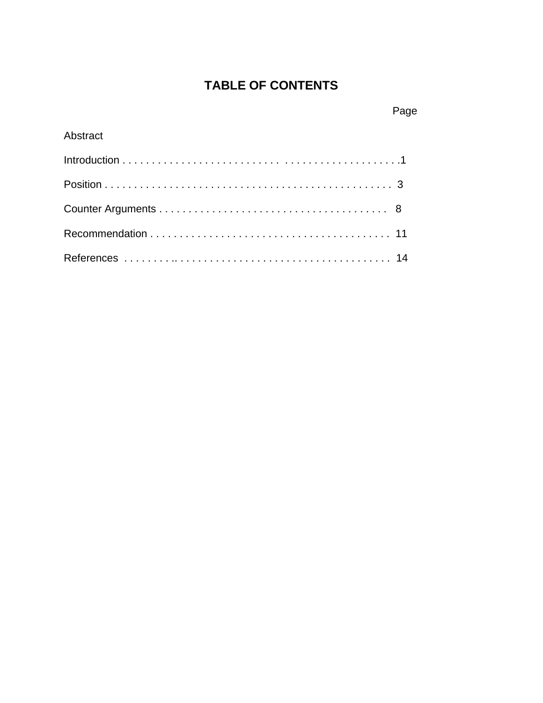# **TABLE OF CONTENTS**

# Page

## Abstract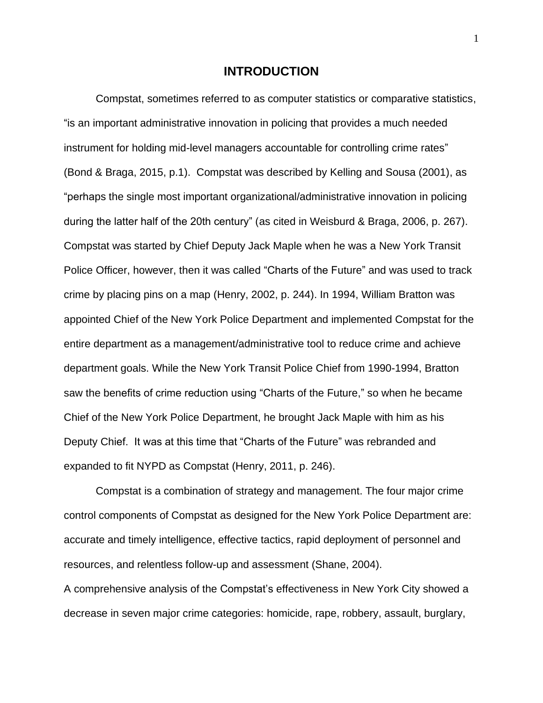#### **INTRODUCTION**

Compstat, sometimes referred to as computer statistics or comparative statistics, "is an important administrative innovation in policing that provides a much needed instrument for holding mid-level managers accountable for controlling crime rates" (Bond & Braga, 2015, p.1). Compstat was described by Kelling and Sousa (2001), as "perhaps the single most important organizational/administrative innovation in policing during the latter half of the 20th century" (as cited in Weisburd & Braga, 2006, p. 267). Compstat was started by Chief Deputy Jack Maple when he was a New York Transit Police Officer, however, then it was called "Charts of the Future" and was used to track crime by placing pins on a map (Henry, 2002, p. 244). In 1994, William Bratton was appointed Chief of the New York Police Department and implemented Compstat for the entire department as a management/administrative tool to reduce crime and achieve department goals. While the New York Transit Police Chief from 1990-1994, Bratton saw the benefits of crime reduction using "Charts of the Future," so when he became Chief of the New York Police Department, he brought Jack Maple with him as his Deputy Chief. It was at this time that "Charts of the Future" was rebranded and expanded to fit NYPD as Compstat (Henry, 2011, p. 246).

Compstat is a combination of strategy and management. The four major crime control components of Compstat as designed for the New York Police Department are: accurate and timely intelligence, effective tactics, rapid deployment of personnel and resources, and relentless follow-up and assessment (Shane, 2004).

A comprehensive analysis of the Compstat's effectiveness in New York City showed a decrease in seven major crime categories: homicide, rape, robbery, assault, burglary,

1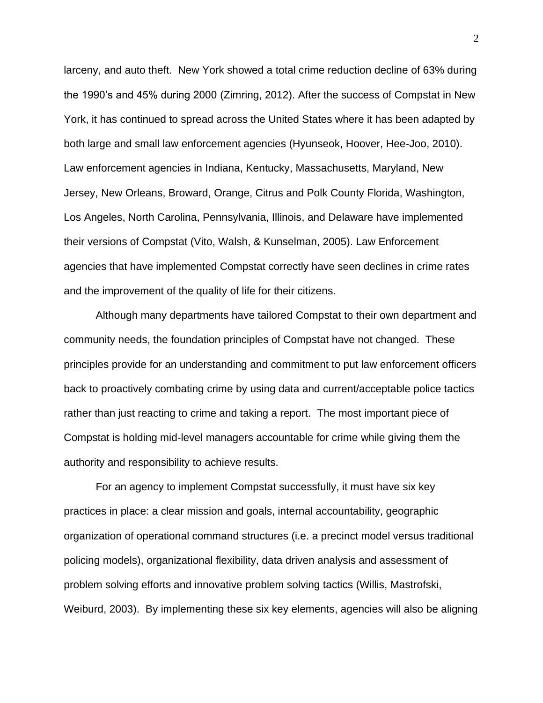larceny, and auto theft. New York showed a total crime reduction decline of 63% during the 1990's and 45% during 2000 (Zimring, 2012). After the success of Compstat in New York, it has continued to spread across the United States where it has been adapted by both large and small law enforcement agencies (Hyunseok, Hoover, Hee-Joo, 2010). Law enforcement agencies in Indiana, Kentucky, Massachusetts, Maryland, New Jersey, New Orleans, Broward, Orange, Citrus and Polk County Florida, Washington, Los Angeles, North Carolina, Pennsylvania, Illinois, and Delaware have implemented their versions of Compstat (Vito, Walsh, & Kunselman, 2005). Law Enforcement agencies that have implemented Compstat correctly have seen declines in crime rates and the improvement of the quality of life for their citizens.

Although many departments have tailored Compstat to their own department and community needs, the foundation principles of Compstat have not changed. These principles provide for an understanding and commitment to put law enforcement officers back to proactively combating crime by using data and current/acceptable police tactics rather than just reacting to crime and taking a report. The most important piece of Compstat is holding mid-level managers accountable for crime while giving them the authority and responsibility to achieve results.

For an agency to implement Compstat successfully, it must have six key practices in place: a clear mission and goals, internal accountability, geographic organization of operational command structures (i.e. a precinct model versus traditional policing models), organizational flexibility, data driven analysis and assessment of problem solving efforts and innovative problem solving tactics (Willis, Mastrofski, Weiburd, 2003). By implementing these six key elements, agencies will also be aligning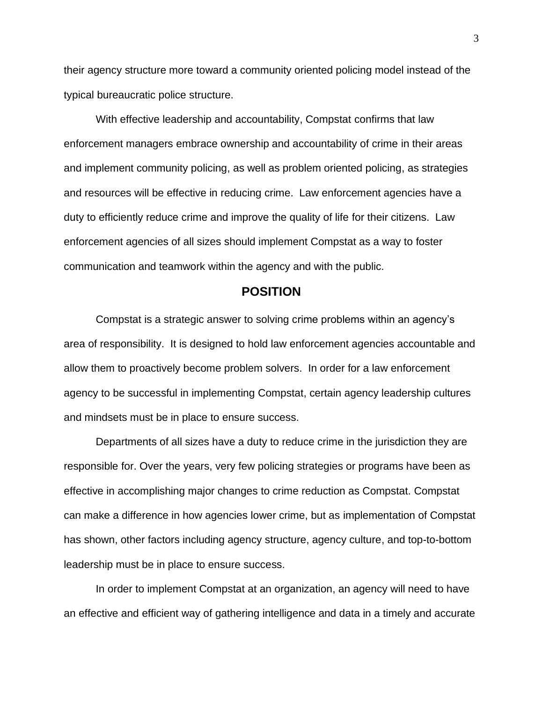their agency structure more toward a community oriented policing model instead of the typical bureaucratic police structure.

With effective leadership and accountability, Compstat confirms that law enforcement managers embrace ownership and accountability of crime in their areas and implement community policing, as well as problem oriented policing, as strategies and resources will be effective in reducing crime. Law enforcement agencies have a duty to efficiently reduce crime and improve the quality of life for their citizens. Law enforcement agencies of all sizes should implement Compstat as a way to foster communication and teamwork within the agency and with the public.

#### **POSITION**

Compstat is a strategic answer to solving crime problems within an agency's area of responsibility. It is designed to hold law enforcement agencies accountable and allow them to proactively become problem solvers. In order for a law enforcement agency to be successful in implementing Compstat, certain agency leadership cultures and mindsets must be in place to ensure success.

Departments of all sizes have a duty to reduce crime in the jurisdiction they are responsible for. Over the years, very few policing strategies or programs have been as effective in accomplishing major changes to crime reduction as Compstat. Compstat can make a difference in how agencies lower crime, but as implementation of Compstat has shown, other factors including agency structure, agency culture, and top-to-bottom leadership must be in place to ensure success.

In order to implement Compstat at an organization, an agency will need to have an effective and efficient way of gathering intelligence and data in a timely and accurate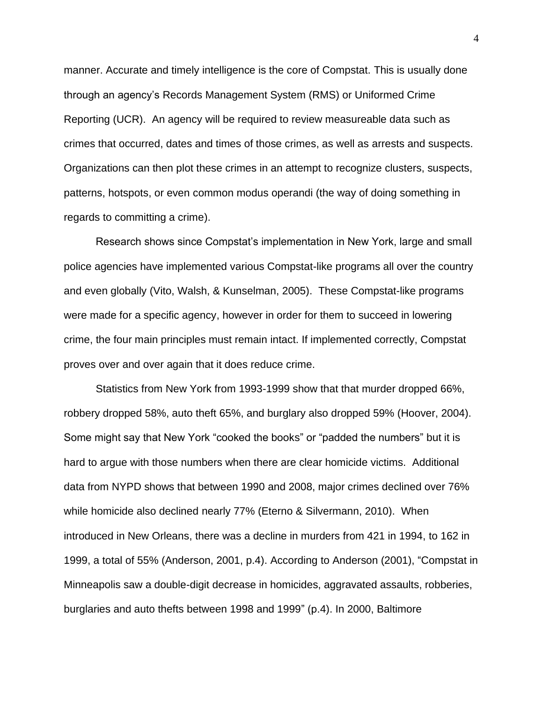manner. Accurate and timely intelligence is the core of Compstat. This is usually done through an agency's Records Management System (RMS) or Uniformed Crime Reporting (UCR). An agency will be required to review measureable data such as crimes that occurred, dates and times of those crimes, as well as arrests and suspects. Organizations can then plot these crimes in an attempt to recognize clusters, suspects, patterns, hotspots, or even common modus operandi (the way of doing something in regards to committing a crime).

Research shows since Compstat's implementation in New York, large and small police agencies have implemented various Compstat-like programs all over the country and even globally (Vito, Walsh, & Kunselman, 2005). These Compstat-like programs were made for a specific agency, however in order for them to succeed in lowering crime, the four main principles must remain intact. If implemented correctly, Compstat proves over and over again that it does reduce crime.

Statistics from New York from 1993-1999 show that that murder dropped 66%, robbery dropped 58%, auto theft 65%, and burglary also dropped 59% (Hoover, 2004). Some might say that New York "cooked the books" or "padded the numbers" but it is hard to argue with those numbers when there are clear homicide victims. Additional data from NYPD shows that between 1990 and 2008, major crimes declined over 76% while homicide also declined nearly 77% (Eterno & Silvermann, 2010). When introduced in New Orleans, there was a decline in murders from 421 in 1994, to 162 in 1999, a total of 55% (Anderson, 2001, p.4). According to Anderson (2001), "Compstat in Minneapolis saw a double-digit decrease in homicides, aggravated assaults, robberies, burglaries and auto thefts between 1998 and 1999" (p.4). In 2000, Baltimore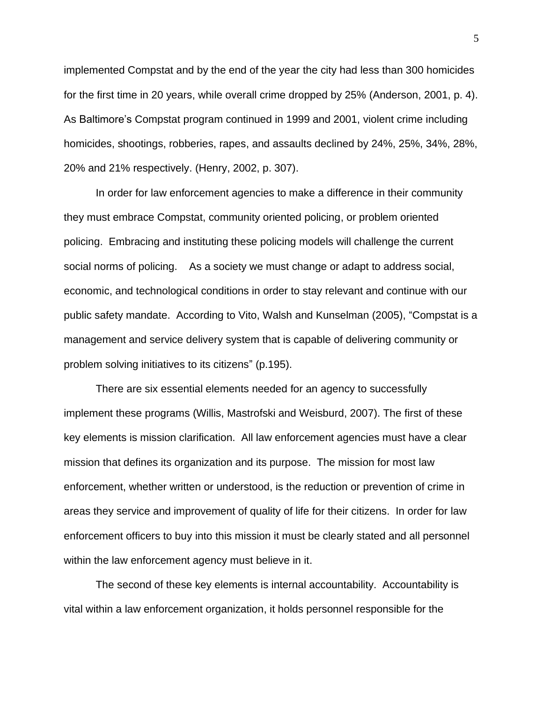implemented Compstat and by the end of the year the city had less than 300 homicides for the first time in 20 years, while overall crime dropped by 25% (Anderson, 2001, p. 4). As Baltimore's Compstat program continued in 1999 and 2001, violent crime including homicides, shootings, robberies, rapes, and assaults declined by 24%, 25%, 34%, 28%, 20% and 21% respectively. (Henry, 2002, p. 307).

In order for law enforcement agencies to make a difference in their community they must embrace Compstat, community oriented policing, or problem oriented policing. Embracing and instituting these policing models will challenge the current social norms of policing. As a society we must change or adapt to address social, economic, and technological conditions in order to stay relevant and continue with our public safety mandate. According to Vito, Walsh and Kunselman (2005), "Compstat is a management and service delivery system that is capable of delivering community or problem solving initiatives to its citizens" (p.195).

There are six essential elements needed for an agency to successfully implement these programs (Willis, Mastrofski and Weisburd, 2007). The first of these key elements is mission clarification. All law enforcement agencies must have a clear mission that defines its organization and its purpose. The mission for most law enforcement, whether written or understood, is the reduction or prevention of crime in areas they service and improvement of quality of life for their citizens. In order for law enforcement officers to buy into this mission it must be clearly stated and all personnel within the law enforcement agency must believe in it.

The second of these key elements is internal accountability. Accountability is vital within a law enforcement organization, it holds personnel responsible for the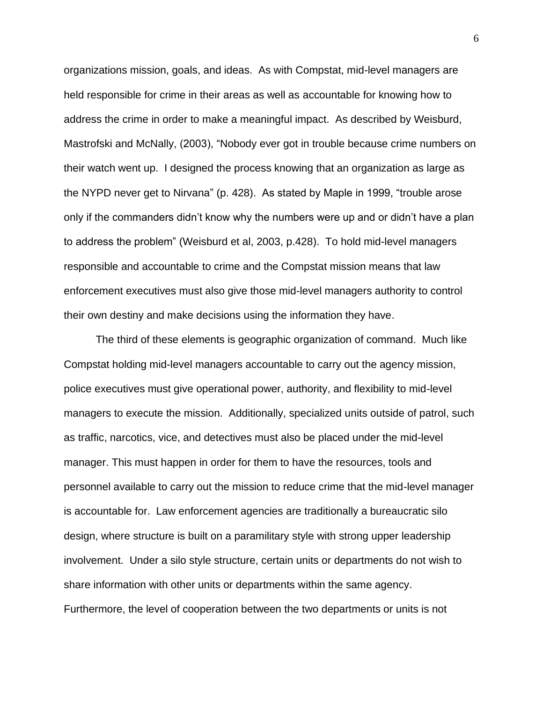organizations mission, goals, and ideas. As with Compstat, mid-level managers are held responsible for crime in their areas as well as accountable for knowing how to address the crime in order to make a meaningful impact. As described by Weisburd, Mastrofski and McNally, (2003), "Nobody ever got in trouble because crime numbers on their watch went up. I designed the process knowing that an organization as large as the NYPD never get to Nirvana" (p. 428). As stated by Maple in 1999, "trouble arose only if the commanders didn't know why the numbers were up and or didn't have a plan to address the problem" (Weisburd et al, 2003, p.428). To hold mid-level managers responsible and accountable to crime and the Compstat mission means that law enforcement executives must also give those mid-level managers authority to control their own destiny and make decisions using the information they have.

The third of these elements is geographic organization of command. Much like Compstat holding mid-level managers accountable to carry out the agency mission, police executives must give operational power, authority, and flexibility to mid-level managers to execute the mission. Additionally, specialized units outside of patrol, such as traffic, narcotics, vice, and detectives must also be placed under the mid-level manager. This must happen in order for them to have the resources, tools and personnel available to carry out the mission to reduce crime that the mid-level manager is accountable for. Law enforcement agencies are traditionally a bureaucratic silo design, where structure is built on a paramilitary style with strong upper leadership involvement. Under a silo style structure, certain units or departments do not wish to share information with other units or departments within the same agency. Furthermore, the level of cooperation between the two departments or units is not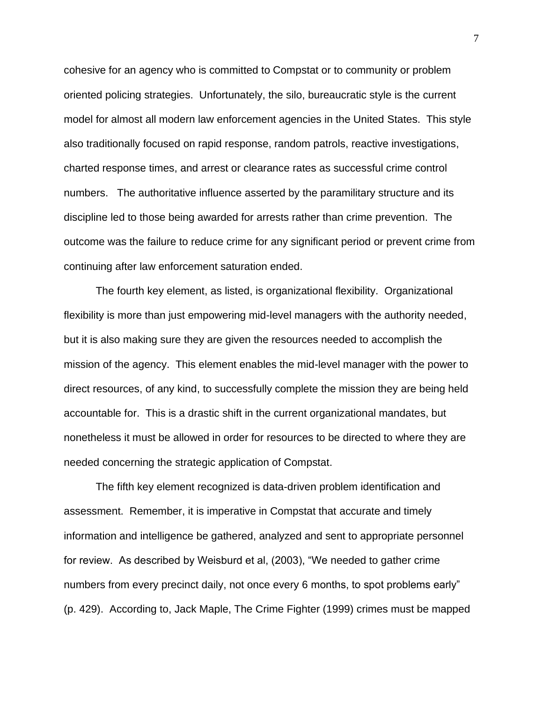cohesive for an agency who is committed to Compstat or to community or problem oriented policing strategies. Unfortunately, the silo, bureaucratic style is the current model for almost all modern law enforcement agencies in the United States. This style also traditionally focused on rapid response, random patrols, reactive investigations, charted response times, and arrest or clearance rates as successful crime control numbers. The authoritative influence asserted by the paramilitary structure and its discipline led to those being awarded for arrests rather than crime prevention. The outcome was the failure to reduce crime for any significant period or prevent crime from continuing after law enforcement saturation ended.

The fourth key element, as listed, is organizational flexibility. Organizational flexibility is more than just empowering mid-level managers with the authority needed, but it is also making sure they are given the resources needed to accomplish the mission of the agency. This element enables the mid-level manager with the power to direct resources, of any kind, to successfully complete the mission they are being held accountable for. This is a drastic shift in the current organizational mandates, but nonetheless it must be allowed in order for resources to be directed to where they are needed concerning the strategic application of Compstat.

The fifth key element recognized is data-driven problem identification and assessment. Remember, it is imperative in Compstat that accurate and timely information and intelligence be gathered, analyzed and sent to appropriate personnel for review. As described by Weisburd et al, (2003), "We needed to gather crime numbers from every precinct daily, not once every 6 months, to spot problems early" (p. 429). According to, Jack Maple, The Crime Fighter (1999) crimes must be mapped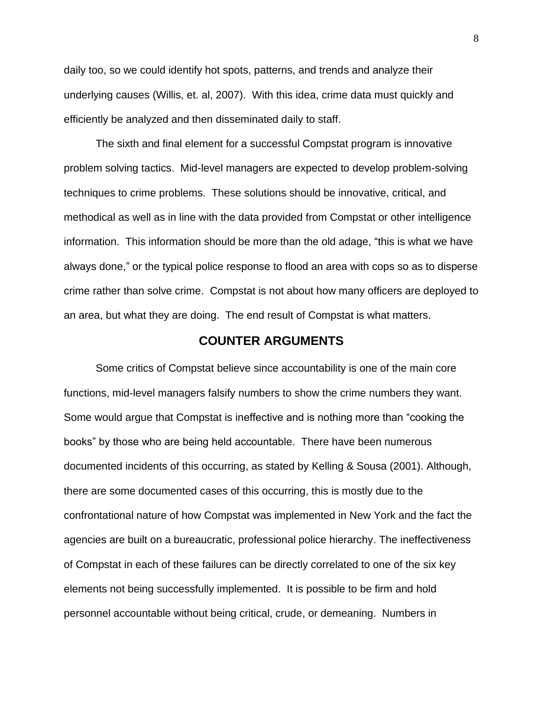daily too, so we could identify hot spots, patterns, and trends and analyze their underlying causes (Willis, et. al, 2007). With this idea, crime data must quickly and efficiently be analyzed and then disseminated daily to staff.

The sixth and final element for a successful Compstat program is innovative problem solving tactics. Mid-level managers are expected to develop problem-solving techniques to crime problems. These solutions should be innovative, critical, and methodical as well as in line with the data provided from Compstat or other intelligence information. This information should be more than the old adage, "this is what we have always done," or the typical police response to flood an area with cops so as to disperse crime rather than solve crime. Compstat is not about how many officers are deployed to an area, but what they are doing. The end result of Compstat is what matters.

### **COUNTER ARGUMENTS**

Some critics of Compstat believe since accountability is one of the main core functions, mid-level managers falsify numbers to show the crime numbers they want. Some would argue that Compstat is ineffective and is nothing more than "cooking the books" by those who are being held accountable. There have been numerous documented incidents of this occurring, as stated by Kelling & Sousa (2001). Although, there are some documented cases of this occurring, this is mostly due to the confrontational nature of how Compstat was implemented in New York and the fact the agencies are built on a bureaucratic, professional police hierarchy. The ineffectiveness of Compstat in each of these failures can be directly correlated to one of the six key elements not being successfully implemented. It is possible to be firm and hold personnel accountable without being critical, crude, or demeaning. Numbers in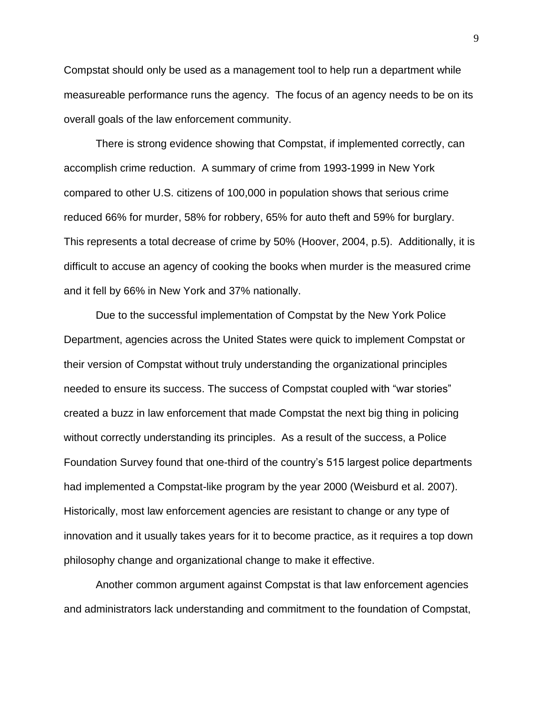Compstat should only be used as a management tool to help run a department while measureable performance runs the agency. The focus of an agency needs to be on its overall goals of the law enforcement community.

There is strong evidence showing that Compstat, if implemented correctly, can accomplish crime reduction. A summary of crime from 1993-1999 in New York compared to other U.S. citizens of 100,000 in population shows that serious crime reduced 66% for murder, 58% for robbery, 65% for auto theft and 59% for burglary. This represents a total decrease of crime by 50% (Hoover, 2004, p.5). Additionally, it is difficult to accuse an agency of cooking the books when murder is the measured crime and it fell by 66% in New York and 37% nationally.

Due to the successful implementation of Compstat by the New York Police Department, agencies across the United States were quick to implement Compstat or their version of Compstat without truly understanding the organizational principles needed to ensure its success. The success of Compstat coupled with "war stories" created a buzz in law enforcement that made Compstat the next big thing in policing without correctly understanding its principles. As a result of the success, a Police Foundation Survey found that one-third of the country's 515 largest police departments had implemented a Compstat-like program by the year 2000 (Weisburd et al. 2007). Historically, most law enforcement agencies are resistant to change or any type of innovation and it usually takes years for it to become practice, as it requires a top down philosophy change and organizational change to make it effective.

Another common argument against Compstat is that law enforcement agencies and administrators lack understanding and commitment to the foundation of Compstat,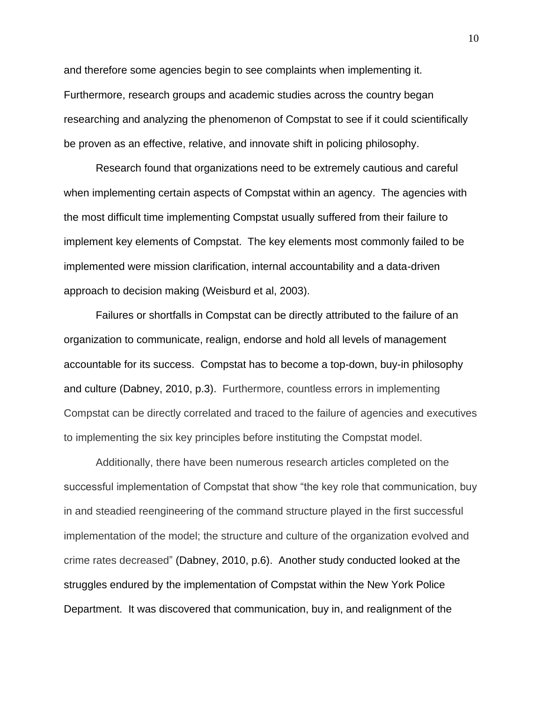and therefore some agencies begin to see complaints when implementing it. Furthermore, research groups and academic studies across the country began researching and analyzing the phenomenon of Compstat to see if it could scientifically be proven as an effective, relative, and innovate shift in policing philosophy.

Research found that organizations need to be extremely cautious and careful when implementing certain aspects of Compstat within an agency. The agencies with the most difficult time implementing Compstat usually suffered from their failure to implement key elements of Compstat. The key elements most commonly failed to be implemented were mission clarification, internal accountability and a data-driven approach to decision making (Weisburd et al, 2003).

Failures or shortfalls in Compstat can be directly attributed to the failure of an organization to communicate, realign, endorse and hold all levels of management accountable for its success. Compstat has to become a top-down, buy-in philosophy and culture (Dabney, 2010, p.3). Furthermore, countless errors in implementing Compstat can be directly correlated and traced to the failure of agencies and executives to implementing the six key principles before instituting the Compstat model.

Additionally, there have been numerous research articles completed on the successful implementation of Compstat that show "the key role that communication, buy in and steadied reengineering of the command structure played in the first successful implementation of the model; the structure and culture of the organization evolved and crime rates decreased" (Dabney, 2010, p.6). Another study conducted looked at the struggles endured by the implementation of Compstat within the New York Police Department. It was discovered that communication, buy in, and realignment of the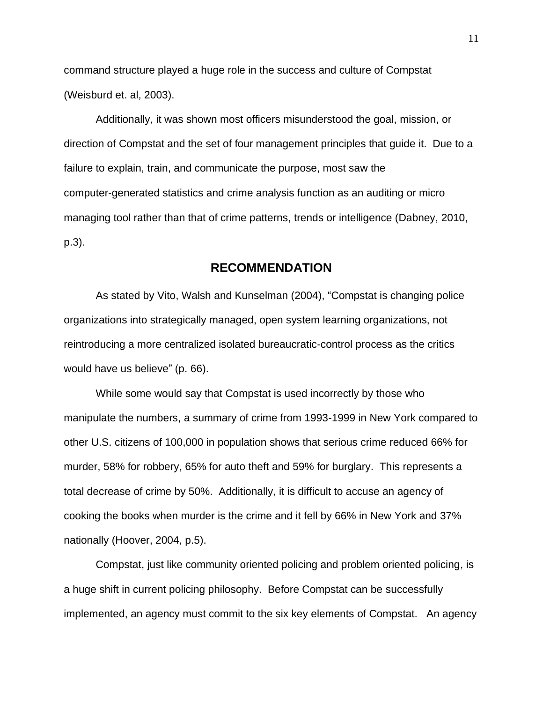command structure played a huge role in the success and culture of Compstat (Weisburd et. al, 2003).

Additionally, it was shown most officers misunderstood the goal, mission, or direction of Compstat and the set of four management principles that guide it. Due to a failure to explain, train, and communicate the purpose, most saw the computer‐generated statistics and crime analysis function as an auditing or micro managing tool rather than that of crime patterns, trends or intelligence (Dabney, 2010, p.3).

### **RECOMMENDATION**

As stated by Vito, Walsh and Kunselman (2004), "Compstat is changing police organizations into strategically managed, open system learning organizations, not reintroducing a more centralized isolated bureaucratic-control process as the critics would have us believe" (p. 66).

While some would say that Compstat is used incorrectly by those who manipulate the numbers, a summary of crime from 1993-1999 in New York compared to other U.S. citizens of 100,000 in population shows that serious crime reduced 66% for murder, 58% for robbery, 65% for auto theft and 59% for burglary. This represents a total decrease of crime by 50%. Additionally, it is difficult to accuse an agency of cooking the books when murder is the crime and it fell by 66% in New York and 37% nationally (Hoover, 2004, p.5).

Compstat, just like community oriented policing and problem oriented policing, is a huge shift in current policing philosophy. Before Compstat can be successfully implemented, an agency must commit to the six key elements of Compstat. An agency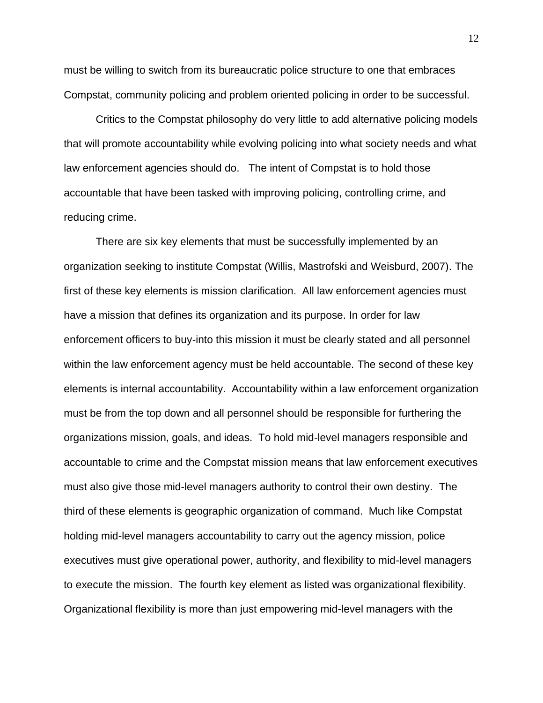must be willing to switch from its bureaucratic police structure to one that embraces Compstat, community policing and problem oriented policing in order to be successful.

Critics to the Compstat philosophy do very little to add alternative policing models that will promote accountability while evolving policing into what society needs and what law enforcement agencies should do. The intent of Compstat is to hold those accountable that have been tasked with improving policing, controlling crime, and reducing crime.

There are six key elements that must be successfully implemented by an organization seeking to institute Compstat (Willis, Mastrofski and Weisburd, 2007). The first of these key elements is mission clarification. All law enforcement agencies must have a mission that defines its organization and its purpose. In order for law enforcement officers to buy-into this mission it must be clearly stated and all personnel within the law enforcement agency must be held accountable. The second of these key elements is internal accountability. Accountability within a law enforcement organization must be from the top down and all personnel should be responsible for furthering the organizations mission, goals, and ideas. To hold mid-level managers responsible and accountable to crime and the Compstat mission means that law enforcement executives must also give those mid-level managers authority to control their own destiny. The third of these elements is geographic organization of command. Much like Compstat holding mid-level managers accountability to carry out the agency mission, police executives must give operational power, authority, and flexibility to mid-level managers to execute the mission. The fourth key element as listed was organizational flexibility. Organizational flexibility is more than just empowering mid-level managers with the

12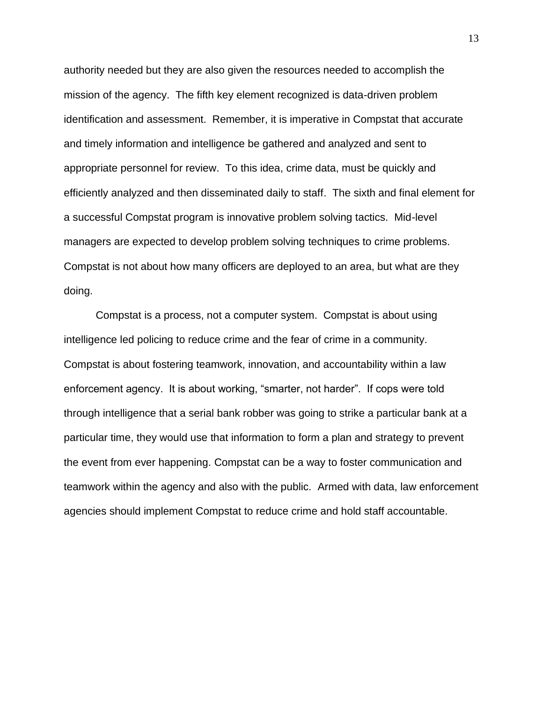authority needed but they are also given the resources needed to accomplish the mission of the agency. The fifth key element recognized is data-driven problem identification and assessment. Remember, it is imperative in Compstat that accurate and timely information and intelligence be gathered and analyzed and sent to appropriate personnel for review. To this idea, crime data, must be quickly and efficiently analyzed and then disseminated daily to staff. The sixth and final element for a successful Compstat program is innovative problem solving tactics. Mid-level managers are expected to develop problem solving techniques to crime problems. Compstat is not about how many officers are deployed to an area, but what are they doing.

Compstat is a process, not a computer system. Compstat is about using intelligence led policing to reduce crime and the fear of crime in a community. Compstat is about fostering teamwork, innovation, and accountability within a law enforcement agency. It is about working, "smarter, not harder". If cops were told through intelligence that a serial bank robber was going to strike a particular bank at a particular time, they would use that information to form a plan and strategy to prevent the event from ever happening. Compstat can be a way to foster communication and teamwork within the agency and also with the public. Armed with data, law enforcement agencies should implement Compstat to reduce crime and hold staff accountable.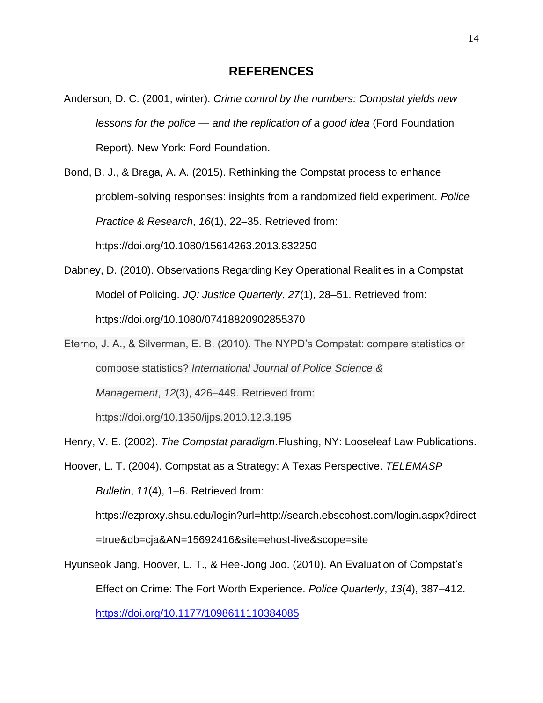### **REFERENCES**

- Anderson, D. C. (2001, winter). *Crime control by the numbers: Compstat yields new lessons for the police — and the replication of a good idea* (Ford Foundation Report). New York: Ford Foundation.
- Bond, B. J., & Braga, A. A. (2015). Rethinking the Compstat process to enhance problem-solving responses: insights from a randomized field experiment. *Police Practice & Research*, *16*(1), 22–35. Retrieved from:

https://doi.org/10.1080/15614263.2013.832250

- Dabney, D. (2010). Observations Regarding Key Operational Realities in a Compstat Model of Policing. *JQ: Justice Quarterly*, *27*(1), 28–51. Retrieved from: https://doi.org/10.1080/07418820902855370
- Eterno, J. A., & Silverman, E. B. (2010). The NYPD's Compstat: compare statistics or compose statistics? *International Journal of Police Science & Management*, *12*(3), 426–449. Retrieved from: https://doi.org/10.1350/ijps.2010.12.3.195

Henry, V. E. (2002). *The Compstat paradigm*.Flushing, NY: Looseleaf Law Publications.

Hoover, L. T. (2004). Compstat as a Strategy: A Texas Perspective. *TELEMASP Bulletin*, *11*(4), 1–6. Retrieved from:

https://ezproxy.shsu.edu/login?url=http://search.ebscohost.com/login.aspx?direct

=true&db=cja&AN=15692416&site=ehost-live&scope=site

Hyunseok Jang, Hoover, L. T., & Hee-Jong Joo. (2010). An Evaluation of Compstat's Effect on Crime: The Fort Worth Experience. *Police Quarterly*, *13*(4), 387–412. <https://doi.org/10.1177/1098611110384085>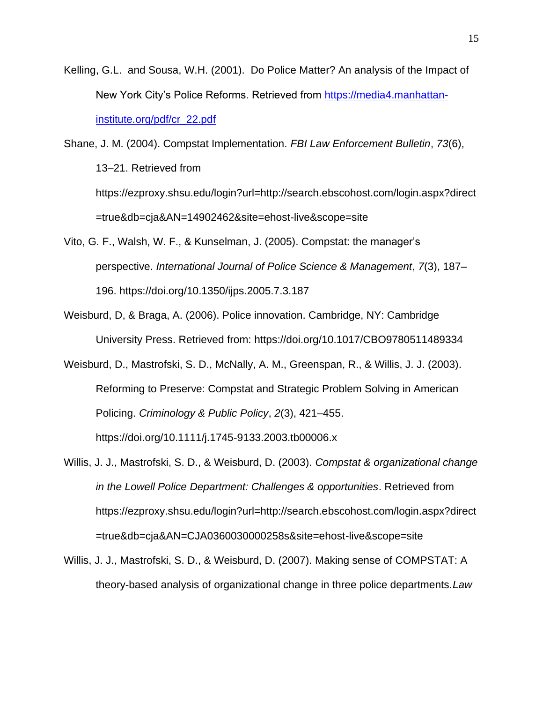Kelling, G.L. and Sousa, W.H. (2001). Do Police Matter? An analysis of the Impact of New York City's Police Reforms. Retrieved from [https://media4.manhattan](https://media4.manhattan-institute.org/pdf/cr_22.pdf)[institute.org/pdf/cr\\_22.pdf](https://media4.manhattan-institute.org/pdf/cr_22.pdf)

Shane, J. M. (2004). Compstat Implementation. *FBI Law Enforcement Bulletin*, *73*(6), 13–21. Retrieved from https://ezproxy.shsu.edu/login?url=http://search.ebscohost.com/login.aspx?direct =true&db=cja&AN=14902462&site=ehost-live&scope=site

- Vito, G. F., Walsh, W. F., & Kunselman, J. (2005). Compstat: the manager's perspective. *International Journal of Police Science & Management*, *7*(3), 187– 196. https://doi.org/10.1350/ijps.2005.7.3.187
- Weisburd, D, & Braga, A. (2006). Police innovation. Cambridge, NY: Cambridge University Press. Retrieved from: https://doi.org/10.1017/CBO9780511489334
- Weisburd, D., Mastrofski, S. D., McNally, A. M., Greenspan, R., & Willis, J. J. (2003). Reforming to Preserve: Compstat and Strategic Problem Solving in American Policing. *Criminology & Public Policy*, *2*(3), 421–455.

https://doi.org/10.1111/j.1745-9133.2003.tb00006.x

- Willis, J. J., Mastrofski, S. D., & Weisburd, D. (2003). *Compstat & organizational change in the Lowell Police Department: Challenges & opportunities*. Retrieved from https://ezproxy.shsu.edu/login?url=http://search.ebscohost.com/login.aspx?direct =true&db=cja&AN=CJA0360030000258s&site=ehost-live&scope=site
- Willis, J. J., Mastrofski, S. D., & Weisburd, D. (2007). Making sense of COMPSTAT: A theory-based analysis of organizational change in three police departments.*Law*